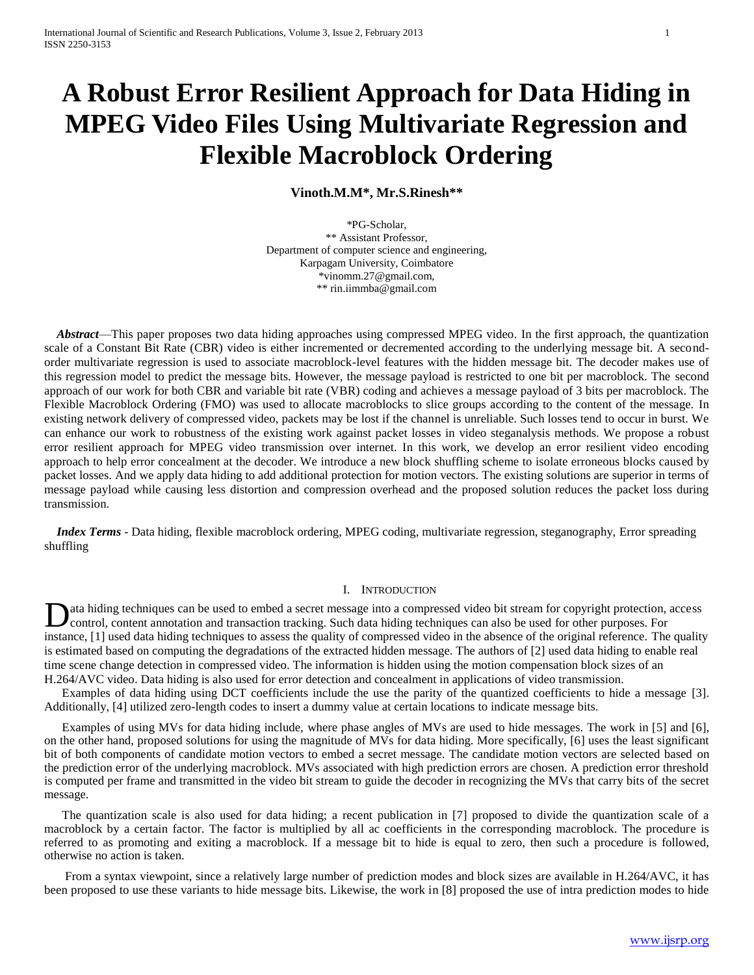# **A Robust Error Resilient Approach for Data Hiding in MPEG Video Files Using Multivariate Regression and Flexible Macroblock Ordering**

**Vinoth.M.M\*, Mr.S.Rinesh\*\***

\*PG-Scholar, \*\* Assistant Professor, Department of computer science and engineering, Karpagam University, Coimbatore \*vinomm.27@gmail.com, \*\* rin.iimmba@gmail.com

 *Abstract*—This paper proposes two data hiding approaches using compressed MPEG video. In the first approach, the quantization scale of a Constant Bit Rate (CBR) video is either incremented or decremented according to the underlying message bit. A secondorder multivariate regression is used to associate macroblock-level features with the hidden message bit. The decoder makes use of this regression model to predict the message bits. However, the message payload is restricted to one bit per macroblock. The second approach of our work for both CBR and variable bit rate (VBR) coding and achieves a message payload of 3 bits per macroblock. The Flexible Macroblock Ordering (FMO) was used to allocate macroblocks to slice groups according to the content of the message. In existing network delivery of compressed video, packets may be lost if the channel is unreliable. Such losses tend to occur in burst. We can enhance our work to robustness of the existing work against packet losses in video steganalysis methods. We propose a robust error resilient approach for MPEG video transmission over internet. In this work, we develop an error resilient video encoding approach to help error concealment at the decoder. We introduce a new block shuffling scheme to isolate erroneous blocks caused by packet losses. And we apply data hiding to add additional protection for motion vectors. The existing solutions are superior in terms of message payload while causing less distortion and compression overhead and the proposed solution reduces the packet loss during transmission.

 *Index Terms* - Data hiding, flexible macroblock ordering, MPEG coding, multivariate regression, steganography, Error spreading shuffling

# I. INTRODUCTION

ata hiding techniques can be used to embed a secret message into a compressed video bit stream for copyright protection, access control, content annotation and transaction tracking. Such data hiding techniques can also be used for other purposes. For instance, [1] used data hiding techniques to assess the quality of compressed video in the absence of the original reference. The quality is estimated based on computing the degradations of the extracted hidden message. The authors of [2] used data hiding to enable real time scene change detection in compressed video. The information is hidden using the motion compensation block sizes of an H.264/AVC video. Data hiding is also used for error detection and concealment in applications of video transmission. D

Examples of data hiding using DCT coefficients include the use the parity of the quantized coefficients to hide a message [3]. Additionally, [4] utilized zero-length codes to insert a dummy value at certain locations to indicate message bits.

Examples of using MVs for data hiding include, where phase angles of MVs are used to hide messages. The work in [5] and [6], on the other hand, proposed solutions for using the magnitude of MVs for data hiding. More specifically, [6] uses the least significant bit of both components of candidate motion vectors to embed a secret message. The candidate motion vectors are selected based on the prediction error of the underlying macroblock. MVs associated with high prediction errors are chosen. A prediction error threshold is computed per frame and transmitted in the video bit stream to guide the decoder in recognizing the MVs that carry bits of the secret message.

The quantization scale is also used for data hiding; a recent publication in [7] proposed to divide the quantization scale of a macroblock by a certain factor. The factor is multiplied by all ac coefficients in the corresponding macroblock. The procedure is referred to as promoting and exiting a macroblock. If a message bit to hide is equal to zero, then such a procedure is followed, otherwise no action is taken.

From a syntax viewpoint, since a relatively large number of prediction modes and block sizes are available in H.264/AVC, it has been proposed to use these variants to hide message bits. Likewise, the work in [8] proposed the use of intra prediction modes to hide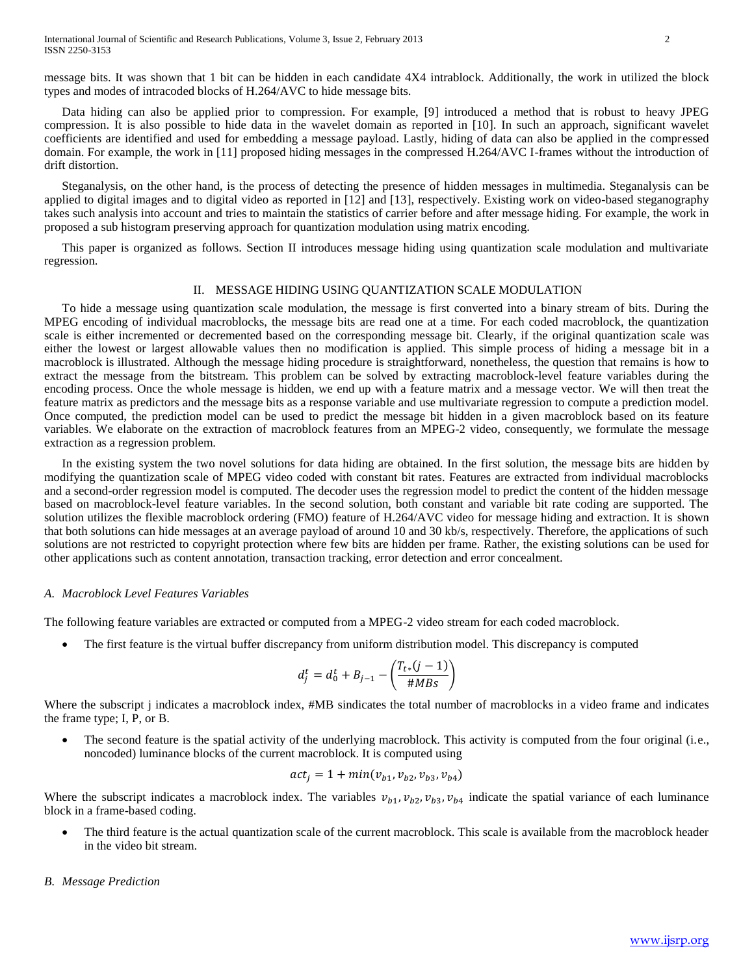message bits. It was shown that 1 bit can be hidden in each candidate 4X4 intrablock. Additionally, the work in utilized the block types and modes of intracoded blocks of H.264/AVC to hide message bits.

Data hiding can also be applied prior to compression. For example, [9] introduced a method that is robust to heavy JPEG compression. It is also possible to hide data in the wavelet domain as reported in [10]. In such an approach, significant wavelet coefficients are identified and used for embedding a message payload. Lastly, hiding of data can also be applied in the compressed domain. For example, the work in [11] proposed hiding messages in the compressed H.264/AVC I-frames without the introduction of drift distortion.

Steganalysis, on the other hand, is the process of detecting the presence of hidden messages in multimedia. Steganalysis can be applied to digital images and to digital video as reported in [12] and [13], respectively. Existing work on video-based steganography takes such analysis into account and tries to maintain the statistics of carrier before and after message hiding. For example, the work in proposed a sub histogram preserving approach for quantization modulation using matrix encoding.

This paper is organized as follows. Section II introduces message hiding using quantization scale modulation and multivariate regression.

# II. MESSAGE HIDING USING QUANTIZATION SCALE MODULATION

To hide a message using quantization scale modulation, the message is first converted into a binary stream of bits. During the MPEG encoding of individual macroblocks, the message bits are read one at a time. For each coded macroblock, the quantization scale is either incremented or decremented based on the corresponding message bit. Clearly, if the original quantization scale was either the lowest or largest allowable values then no modification is applied. This simple process of hiding a message bit in a macroblock is illustrated. Although the message hiding procedure is straightforward, nonetheless, the question that remains is how to extract the message from the bitstream. This problem can be solved by extracting macroblock-level feature variables during the encoding process. Once the whole message is hidden, we end up with a feature matrix and a message vector. We will then treat the feature matrix as predictors and the message bits as a response variable and use multivariate regression to compute a prediction model. Once computed, the prediction model can be used to predict the message bit hidden in a given macroblock based on its feature variables. We elaborate on the extraction of macroblock features from an MPEG-2 video, consequently, we formulate the message extraction as a regression problem.

In the existing system the two novel solutions for data hiding are obtained. In the first solution, the message bits are hidden by modifying the quantization scale of MPEG video coded with constant bit rates. Features are extracted from individual macroblocks and a second-order regression model is computed. The decoder uses the regression model to predict the content of the hidden message based on macroblock-level feature variables. In the second solution, both constant and variable bit rate coding are supported. The solution utilizes the flexible macroblock ordering (FMO) feature of H.264/AVC video for message hiding and extraction. It is shown that both solutions can hide messages at an average payload of around 10 and 30 kb/s, respectively. Therefore, the applications of such solutions are not restricted to copyright protection where few bits are hidden per frame. Rather, the existing solutions can be used for other applications such as content annotation, transaction tracking, error detection and error concealment.

#### *A. Macroblock Level Features Variables*

The following feature variables are extracted or computed from a MPEG-2 video stream for each coded macroblock.

The first feature is the virtual buffer discrepancy from uniform distribution model. This discrepancy is computed

$$
d_j^t = d_0^t + B_{j-1} - \left(\frac{T_{t*}(j-1)}{\# MBS}\right)
$$

Where the subscript j indicates a macroblock index, #MB sindicates the total number of macroblocks in a video frame and indicates the frame type; I, P, or B.

 The second feature is the spatial activity of the underlying macroblock. This activity is computed from the four original (i.e., noncoded) luminance blocks of the current macroblock. It is computed using

$$
actj = 1 + min(vb1, vb2, vb3, vb4)
$$

Where the subscript indicates a macroblock index. The variables  $v_{h1}$ ,  $v_{h2}$ ,  $v_{h3}$ ,  $v_{h4}$  indicate the spatial variance of each luminance block in a frame-based coding.

 The third feature is the actual quantization scale of the current macroblock. This scale is available from the macroblock header in the video bit stream.

### *B. Message Prediction*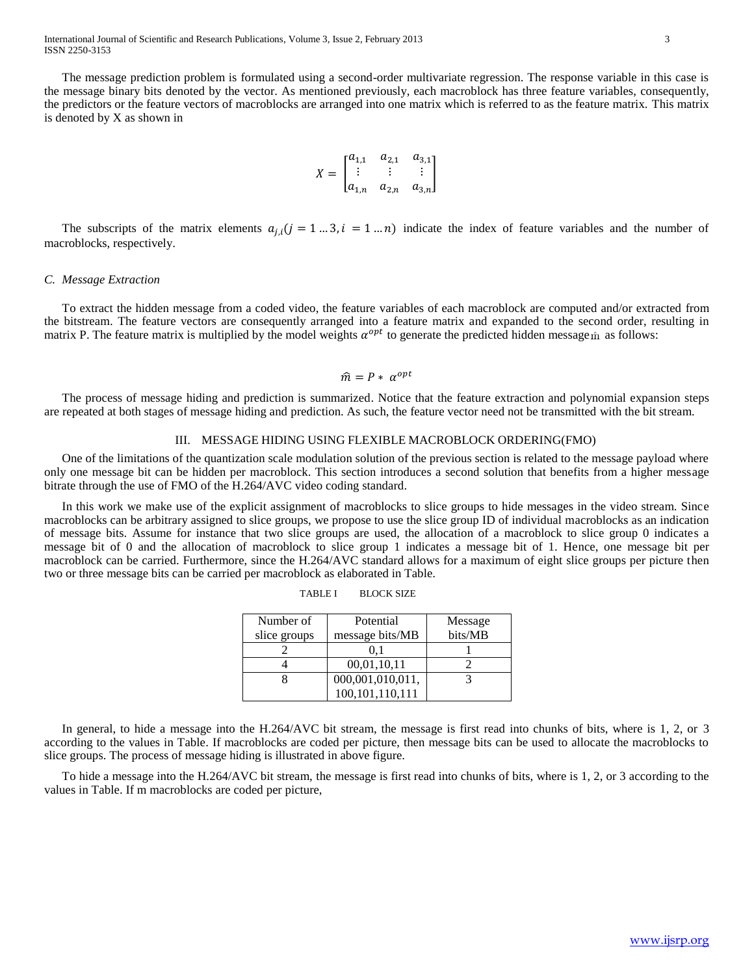International Journal of Scientific and Research Publications, Volume 3, Issue 2, February 2013 3 ISSN 2250-3153

The message prediction problem is formulated using a second-order multivariate regression. The response variable in this case is the message binary bits denoted by the vector. As mentioned previously, each macroblock has three feature variables, consequently, the predictors or the feature vectors of macroblocks are arranged into one matrix which is referred to as the feature matrix. This matrix is denoted by X as shown in

$$
X = \begin{bmatrix} a_{1,1} & a_{2,1} & a_{3,1} \\ \vdots & \vdots & \vdots \\ a_{1,n} & a_{2,n} & a_{3,n} \end{bmatrix}
$$

The subscripts of the matrix elements  $a_{i,i}$  ( $j = 1...3$ ,  $i = 1...n$ ) indicate the index of feature variables and the number of macroblocks, respectively.

#### *C. Message Extraction*

To extract the hidden message from a coded video, the feature variables of each macroblock are computed and/or extracted from the bitstream. The feature vectors are consequently arranged into a feature matrix and expanded to the second order, resulting in matrix P. The feature matrix is multiplied by the model weights  $\alpha^{opt}$  to generate the predicted hidden message  $\hat{m}$  as follows:

$$
\widehat{m} = P * \alpha^{opt}
$$

The process of message hiding and prediction is summarized. Notice that the feature extraction and polynomial expansion steps are repeated at both stages of message hiding and prediction. As such, the feature vector need not be transmitted with the bit stream.

#### III. MESSAGE HIDING USING FLEXIBLE MACROBLOCK ORDERING(FMO)

One of the limitations of the quantization scale modulation solution of the previous section is related to the message payload where only one message bit can be hidden per macroblock. This section introduces a second solution that benefits from a higher message bitrate through the use of FMO of the H.264/AVC video coding standard.

In this work we make use of the explicit assignment of macroblocks to slice groups to hide messages in the video stream. Since macroblocks can be arbitrary assigned to slice groups, we propose to use the slice group ID of individual macroblocks as an indication of message bits. Assume for instance that two slice groups are used, the allocation of a macroblock to slice group 0 indicates a message bit of 0 and the allocation of macroblock to slice group 1 indicates a message bit of 1. Hence, one message bit per macroblock can be carried. Furthermore, since the H.264/AVC standard allows for a maximum of eight slice groups per picture then two or three message bits can be carried per macroblock as elaborated in Table.

| Number of<br>slice groups | Potential<br>message bits/MB | Message<br>bits/MB |
|---------------------------|------------------------------|--------------------|
|                           |                              |                    |
|                           | 00,01,10,11                  |                    |
|                           | 000,001,010,011,             |                    |
|                           | 100,101,110,111              |                    |

TABLE I BLOCK SIZE

In general, to hide a message into the H.264/AVC bit stream, the message is first read into chunks of bits, where is 1, 2, or 3 according to the values in Table. If macroblocks are coded per picture, then message bits can be used to allocate the macroblocks to slice groups. The process of message hiding is illustrated in above figure.

To hide a message into the H.264/AVC bit stream, the message is first read into chunks of bits, where is 1, 2, or 3 according to the values in Table. If m macroblocks are coded per picture,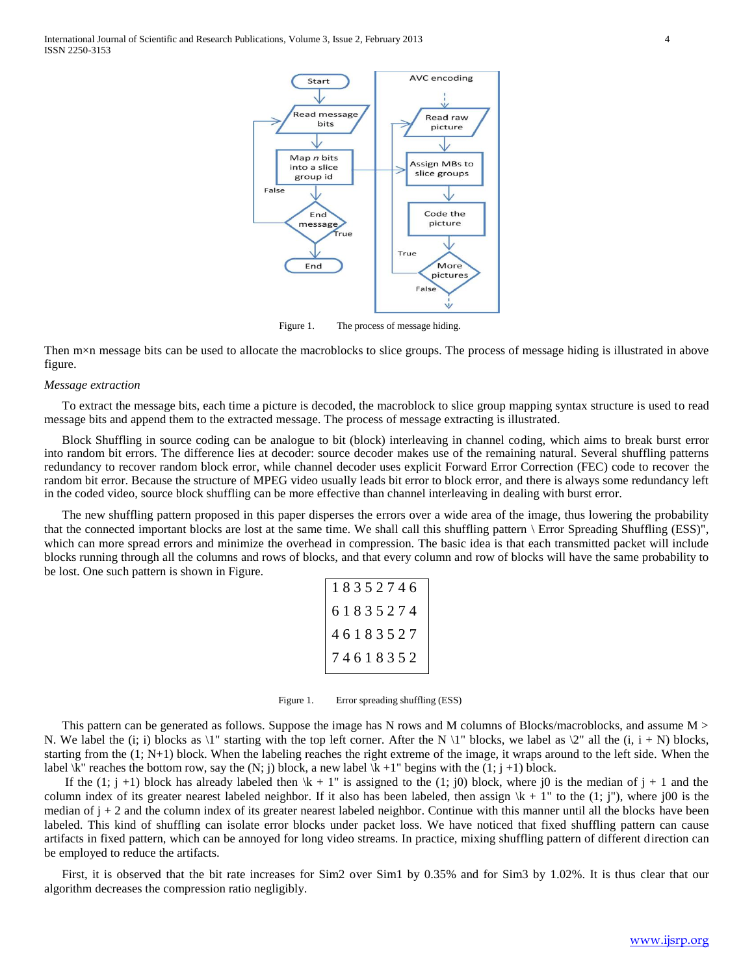

Figure 1. The process of message hiding.

Then m×n message bits can be used to allocate the macroblocks to slice groups. The process of message hiding is illustrated in above figure.

#### *Message extraction*

To extract the message bits, each time a picture is decoded, the macroblock to slice group mapping syntax structure is used to read message bits and append them to the extracted message. The process of message extracting is illustrated.

Block Shuffling in source coding can be analogue to bit (block) interleaving in channel coding, which aims to break burst error into random bit errors. The difference lies at decoder: source decoder makes use of the remaining natural. Several shuffling patterns redundancy to recover random block error, while channel decoder uses explicit Forward Error Correction (FEC) code to recover the random bit error. Because the structure of MPEG video usually leads bit error to block error, and there is always some redundancy left in the coded video, source block shuffling can be more effective than channel interleaving in dealing with burst error.

The new shuffling pattern proposed in this paper disperses the errors over a wide area of the image, thus lowering the probability that the connected important blocks are lost at the same time. We shall call this shuffling pattern \ Error Spreading Shuffling (ESS)", which can more spread errors and minimize the overhead in compression. The basic idea is that each transmitted packet will include blocks running through all the columns and rows of blocks, and that every column and row of blocks will have the same probability to be lost. One such pattern is shown in Figure.

| 18352746                         |  |
|----------------------------------|--|
|                                  |  |
|                                  |  |
| 61835274<br>46183527<br>74618352 |  |

Figure 1. Error spreading shuffling (ESS)

This pattern can be generated as follows. Suppose the image has N rows and M columns of Blocks/macroblocks, and assume M > N. We label the (i; i) blocks as  $\mathcal{N}$  starting with the top left corner. After the N  $\mathcal{N}$  blocks, we label as  $\mathcal{N}$  all the (i, i + N) blocks, starting from the (1; N+1) block. When the labeling reaches the right extreme of the image, it wraps around to the left side. When the label  $\kappa$ " reaches the bottom row, say the (N; j) block, a new label  $\kappa + 1$ " begins with the (1; j +1) block.

If the  $(1; j +1)$  block has already labeled then  $\& + 1$ " is assigned to the  $(1; j0)$  block, where j0 is the median of  $j + 1$  and the column index of its greater nearest labeled neighbor. If it also has been labeled, then assign  $\mathbf{k} + 1$ " to the  $(1, j)$ ", where j00 is the median of  $j + 2$  and the column index of its greater nearest labeled neighbor. Continue with this manner until all the blocks have been labeled. This kind of shuffling can isolate error blocks under packet loss. We have noticed that fixed shuffling pattern can cause artifacts in fixed pattern, which can be annoyed for long video streams. In practice, mixing shuffling pattern of different direction can be employed to reduce the artifacts.

First, it is observed that the bit rate increases for Sim2 over Sim1 by 0.35% and for Sim3 by 1.02%. It is thus clear that our algorithm decreases the compression ratio negligibly.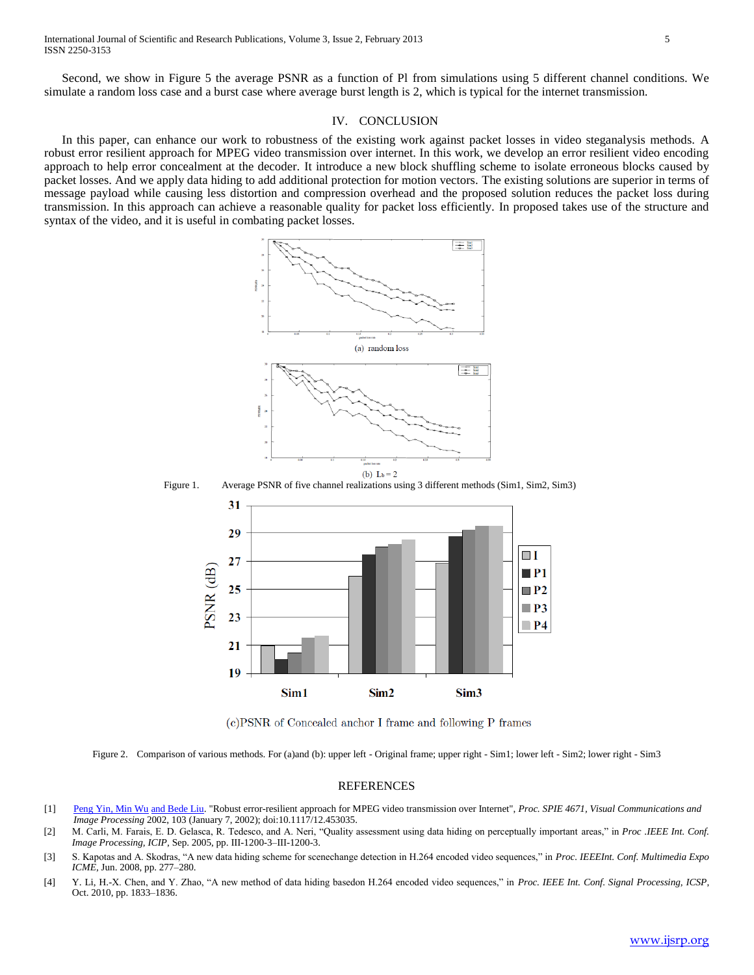Second, we show in Figure 5 the average PSNR as a function of Pl from simulations using 5 different channel conditions. We simulate a random loss case and a burst case where average burst length is 2, which is typical for the internet transmission.

# IV. CONCLUSION

In this paper, can enhance our work to robustness of the existing work against packet losses in video steganalysis methods. A robust error resilient approach for MPEG video transmission over internet. In this work, we develop an error resilient video encoding approach to help error concealment at the decoder. It introduce a new block shuffling scheme to isolate erroneous blocks caused by packet losses. And we apply data hiding to add additional protection for motion vectors. The existing solutions are superior in terms of message payload while causing less distortion and compression overhead and the proposed solution reduces the packet loss during transmission. In this approach can achieve a reasonable quality for packet loss efficiently. In proposed takes use of the structure and syntax of the video, and it is useful in combating packet losses.



(c)PSNR of Concealed anchor I frame and following P frames

Figure 2. Comparison of various methods. For (a)and (b): upper left - Original frame; upper right - Sim1; lower left - Sim2; lower right - Sim3

#### REFERENCES

- [1] [Peng Yin, Min Wu](http://profiles.spiedigitallibrary.org/summary.aspx?DOI=10.1117%2f12.453035&Name=Peng+Yin) [and Bede Liu.](http://profiles.spiedigitallibrary.org/summary.aspx?DOI=10.1117%2f12.453035&Name=Bede+Liu) "Robust error-resilient approach for MPEG video transmission over Internet", *Proc. SPIE 4671, Visual Communications and Image Processing* 2002, 103 (January 7, 2002); doi:10.1117/12.453035.
- [2] M. Carli, M. Farais, E. D. Gelasca, R. Tedesco, and A. Neri, "Quality assessment using data hiding on perceptually important areas," in *Proc .IEEE Int. Conf. Image Processing, ICIP*, Sep. 2005, pp. III-1200-3–III-1200-3.
- [3] S. Kapotas and A. Skodras, "A new data hiding scheme for scenechange detection in H.264 encoded video sequences," in *Proc. IEEEInt. Conf. Multimedia Expo ICME*, Jun. 2008, pp. 277–280.
- [4] Y. Li, H.-X. Chen, and Y. Zhao, "A new method of data hiding basedon H.264 encoded video sequences," in *Proc. IEEE Int. Conf. Signal Processing, ICSP*, Oct. 2010, pp. 1833–1836.